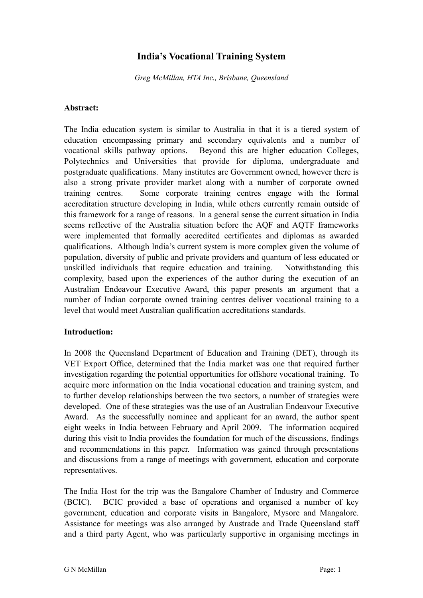# **India's Vocational Training System**

*Greg McMillan, HTA Inc., Brisbane, Queensland*

#### **Abstract:**

The India education system is similar to Australia in that it is a tiered system of education encompassing primary and secondary equivalents and a number of vocational skills pathway options. Beyond this are higher education Colleges, Polytechnics and Universities that provide for diploma, undergraduate and postgraduate qualifications. Many institutes are Government owned, however there is also a strong private provider market along with a number of corporate owned training centres. Some corporate training centres engage with the formal accreditation structure developing in India, while others currently remain outside of this framework for a range of reasons. In a general sense the current situation in India seems reflective of the Australia situation before the AQF and AQTF frameworks were implemented that formally accredited certificates and diplomas as awarded qualifications. Although India's current system is more complex given the volume of population, diversity of public and private providers and quantum of less educated or unskilled individuals that require education and training. Notwithstanding this complexity, based upon the experiences of the author during the execution of an Australian Endeavour Executive Award, this paper presents an argument that a number of Indian corporate owned training centres deliver vocational training to a level that would meet Australian qualification accreditations standards.

### **Introduction:**

In 2008 the Queensland Department of Education and Training (DET), through its VET Export Office, determined that the India market was one that required further investigation regarding the potential opportunities for offshore vocational training. To acquire more information on the India vocational education and training system, and to further develop relationships between the two sectors, a number of strategies were developed. One of these strategies was the use of an Australian Endeavour Executive Award. As the successfully nominee and applicant for an award, the author spent eight weeks in India between February and April 2009. The information acquired during this visit to India provides the foundation for much of the discussions, findings and recommendations in this paper. Information was gained through presentations and discussions from a range of meetings with government, education and corporate representatives.

The India Host for the trip was the Bangalore Chamber of Industry and Commerce (BCIC). BCIC provided a base of operations and organised a number of key government, education and corporate visits in Bangalore, Mysore and Mangalore. Assistance for meetings was also arranged by Austrade and Trade Queensland staff and a third party Agent, who was particularly supportive in organising meetings in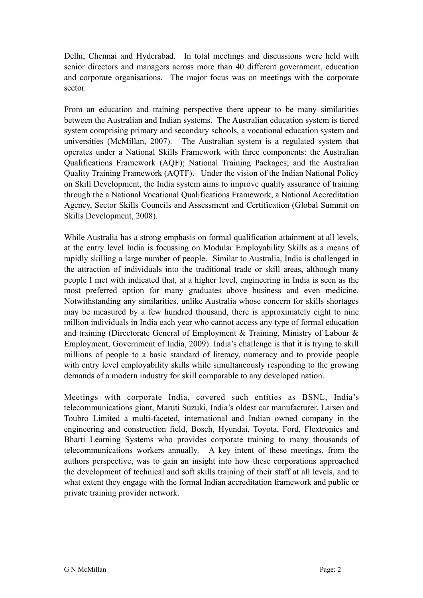Delhi, Chennai and Hyderabad. In total meetings and discussions were held with senior directors and managers across more than 40 different government, education and corporate organisations. The major focus was on meetings with the corporate sector.

From an education and training perspective there appear to be many similarities between the Australian and Indian systems. The Australian education system is tiered system comprising primary and secondary schools, a vocational education system and universities (McMillan, 2007). The Australian system is a regulated system that operates under a National Skills Framework with three components: the Australian Qualifications Framework (AQF); National Training Packages; and the Australian Quality Training Framework (AQTF). Under the vision of the Indian National Policy on Skill Development, the India system aims to improve quality assurance of training through the a National Vocational Qualifications Framework, a National Accreditation Agency, Sector Skills Councils and Assessment and Certification (Global Summit on Skills Development, 2008).

While Australia has a strong emphasis on formal qualification attainment at all levels, at the entry level India is focussing on Modular Employability Skills as a means of rapidly skilling a large number of people. Similar to Australia, India is challenged in the attraction of individuals into the traditional trade or skill areas, although many people I met with indicated that, at a higher level, engineering in India is seen as the most preferred option for many graduates above business and even medicine. Notwithstanding any similarities, unlike Australia whose concern for skills shortages may be measured by a few hundred thousand, there is approximately eight to nine million individuals in India each year who cannot access any type of formal education and training (Directorate General of Employment & Training, Ministry of Labour & Employment, Government of India, 2009). India's challenge is that it is trying to skill millions of people to a basic standard of literacy, numeracy and to provide people with entry level employability skills while simultaneously responding to the growing demands of a modern industry for skill comparable to any developed nation.

Meetings with corporate India, covered such entities as BSNL, India's telecommunications giant, Maruti Suzuki, India's oldest car manufacturer, Larsen and Toubro Limited a multi-faceted, international and Indian owned company in the engineering and construction field, Bosch, Hyundai, Toyota, Ford, Flextronics and Bharti Learning Systems who provides corporate training to many thousands of telecommunications workers annually. A key intent of these meetings, from the authors perspective, was to gain an insight into how these corporations approached the development of technical and soft skills training of their staff at all levels, and to what extent they engage with the formal Indian accreditation framework and public or private training provider network.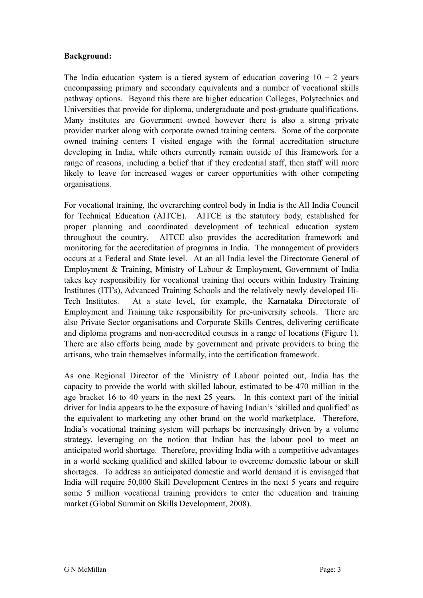### **Background:**

The India education system is a tiered system of education covering  $10 + 2$  years encompassing primary and secondary equivalents and a number of vocational skills pathway options. Beyond this there are higher education Colleges, Polytechnics and Universities that provide for diploma, undergraduate and post-graduate qualifications. Many institutes are Government owned however there is also a strong private provider market along with corporate owned training centers. Some of the corporate owned training centers I visited engage with the formal accreditation structure developing in India, while others currently remain outside of this framework for a range of reasons, including a belief that if they credential staff, then staff will more likely to leave for increased wages or career opportunities with other competing organisations.

For vocational training, the overarching control body in India is the All India Council for Technical Education (AITCE). AITCE is the statutory body, established for proper planning and coordinated development of technical education system throughout the country. AITCE also provides the accreditation framework and monitoring for the accreditation of programs in India. The management of providers occurs at a Federal and State level. At an all India level the Directorate General of Employment & Training, Ministry of Labour & Employment, Government of India takes key responsibility for vocational training that occurs within Industry Training Institutes (ITI's), Advanced Training Schools and the relatively newly developed Hi-Tech Institutes. At a state level, for example, the Karnataka Directorate of Employment and Training take responsibility for pre-university schools. There are also Private Sector organisations and Corporate Skills Centres, delivering certificate and diploma programs and non-accredited courses in a range of locations (Figure 1). There are also efforts being made by government and private providers to bring the artisans, who train themselves informally, into the certification framework.

As one Regional Director of the Ministry of Labour pointed out, India has the capacity to provide the world with skilled labour, estimated to be 470 million in the age bracket 16 to 40 years in the next 25 years. In this context part of the initial driver for India appears to be the exposure of having Indian's 'skilled and qualified' as the equivalent to marketing any other brand on the world marketplace. Therefore, India's vocational training system will perhaps be increasingly driven by a volume strategy, leveraging on the notion that Indian has the labour pool to meet an anticipated world shortage. Therefore, providing India with a competitive advantages in a world seeking qualified and skilled labour to overcome domestic labour or skill shortages. To address an anticipated domestic and world demand it is envisaged that India will require 50,000 Skill Development Centres in the next 5 years and require some 5 million vocational training providers to enter the education and training market (Global Summit on Skills Development, 2008).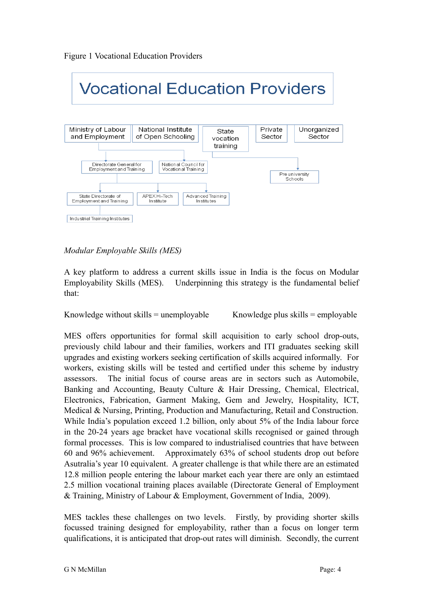

### *Modular Employable Skills (MES)*

A key platform to address a current skills issue in India is the focus on Modular Employability Skills (MES). Underpinning this strategy is the fundamental belief that:

Knowledge without skills  $=$  unemployable Knowledge plus skills  $=$  employable

MES offers opportunities for formal skill acquisition to early school drop-outs, previously child labour and their families, workers and ITI graduates seeking skill upgrades and existing workers seeking certification of skills acquired informally. For workers, existing skills will be tested and certified under this scheme by industry assessors. The initial focus of course areas are in sectors such as Automobile, Banking and Accounting, Beauty Culture & Hair Dressing, Chemical, Electrical, Electronics, Fabrication, Garment Making, Gem and Jewelry, Hospitality, ICT, Medical & Nursing, Printing, Production and Manufacturing, Retail and Construction. While India's population exceed 1.2 billion, only about 5% of the India labour force in the 20-24 years age bracket have vocational skills recognised or gained through formal processes. This is low compared to industrialised countries that have between 60 and 96% achievement. Approximately 63% of school students drop out before Asutralia's year 10 equivalent. A greater challenge is that while there are an estimated 12.8 million people entering the labour market each year there are only an estimtaed 2.5 million vocational training places available (Directorate General of Employment & Training, Ministry of Labour & Employment, Government of India, 2009).

MES tackles these challenges on two levels. Firstly, by providing shorter skills focussed training designed for employability, rather than a focus on longer term qualifications, it is anticipated that drop-out rates will diminish. Secondly, the current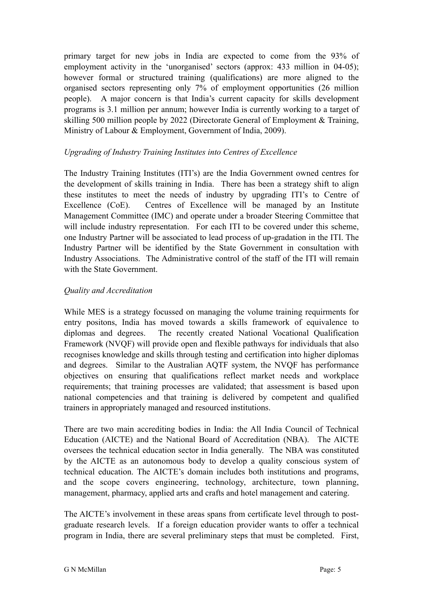primary target for new jobs in India are expected to come from the 93% of employment activity in the 'unorganised' sectors (approx: 433 million in 04-05); however formal or structured training (qualifications) are more aligned to the organised sectors representing only 7% of employment opportunities (26 million people). A major concern is that India's current capacity for skills development programs is 3.1 million per annum; however India is currently working to a target of skilling 500 million people by 2022 (Directorate General of Employment & Training, Ministry of Labour & Employment, Government of India, 2009).

### *Upgrading of Industry Training Institutes into Centres of Excellence*

The Industry Training Institutes (ITI's) are the India Government owned centres for the development of skills training in India. There has been a strategy shift to align these institutes to meet the needs of industry by upgrading ITI's to Centre of Excellence (CoE). Centres of Excellence will be managed by an Institute Management Committee (IMC) and operate under a broader Steering Committee that will include industry representation. For each ITI to be covered under this scheme, one Industry Partner will be associated to lead process of up-gradation in the ITI. The Industry Partner will be identified by the State Government in consultation with Industry Associations. The Administrative control of the staff of the ITI will remain with the State Government.

### *Quality and Accreditation*

While MES is a strategy focussed on managing the volume training requirments for entry positons, India has moved towards a skills framework of equivalence to diplomas and degrees. The recently created National Vocational Qualification Framework (NVQF) will provide open and flexible pathways for individuals that also recognises knowledge and skills through testing and certification into higher diplomas and degrees. Similar to the Australian AQTF system, the NVQF has performance objectives on ensuring that qualifications reflect market needs and workplace requirements; that training processes are validated; that assessment is based upon national competencies and that training is delivered by competent and qualified trainers in appropriately managed and resourced institutions.

There are two main accrediting bodies in India: the All India Council of Technical Education (AICTE) and the National Board of Accreditation (NBA). The AICTE oversees the technical education sector in India generally. The NBA was constituted by the AICTE as an autonomous body to develop a quality conscious system of technical education. The AICTE's domain includes both institutions and programs, and the scope covers engineering, technology, architecture, town planning, management, pharmacy, applied arts and crafts and hotel management and catering.

The AICTE's involvement in these areas spans from certificate level through to postgraduate research levels. If a foreign education provider wants to offer a technical program in India, there are several preliminary steps that must be completed. First,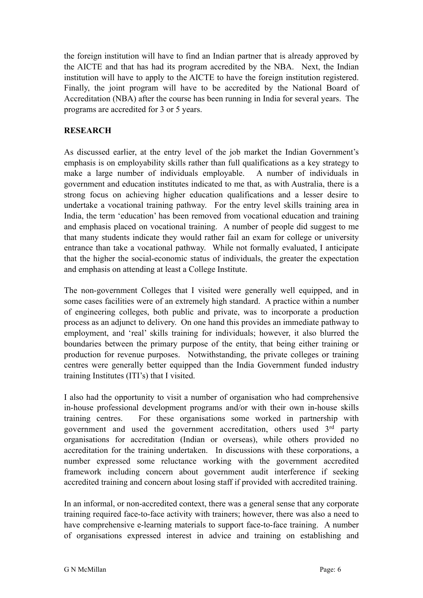the foreign institution will have to find an Indian partner that is already approved by the AICTE and that has had its program accredited by the NBA. Next, the Indian institution will have to apply to the AICTE to have the foreign institution registered. Finally, the joint program will have to be accredited by the National Board of Accreditation (NBA) after the course has been running in India for several years. The programs are accredited for 3 or 5 years.

### **RESEARCH**

As discussed earlier, at the entry level of the job market the Indian Government's emphasis is on employability skills rather than full qualifications as a key strategy to make a large number of individuals employable. A number of individuals in government and education institutes indicated to me that, as with Australia, there is a strong focus on achieving higher education qualifications and a lesser desire to undertake a vocational training pathway. For the entry level skills training area in India, the term 'education' has been removed from vocational education and training and emphasis placed on vocational training. A number of people did suggest to me that many students indicate they would rather fail an exam for college or university entrance than take a vocational pathway. While not formally evaluated, I anticipate that the higher the social-economic status of individuals, the greater the expectation and emphasis on attending at least a College Institute.

The non-government Colleges that I visited were generally well equipped, and in some cases facilities were of an extremely high standard. A practice within a number of engineering colleges, both public and private, was to incorporate a production process as an adjunct to delivery. On one hand this provides an immediate pathway to employment, and 'real' skills training for individuals; however, it also blurred the boundaries between the primary purpose of the entity, that being either training or production for revenue purposes. Notwithstanding, the private colleges or training centres were generally better equipped than the India Government funded industry training Institutes (ITI's) that I visited.

I also had the opportunity to visit a number of organisation who had comprehensive in-house professional development programs and/or with their own in-house skills training centres. For these organisations some worked in partnership with government and used the government accreditation, others used  $3<sup>rd</sup>$  party organisations for accreditation (Indian or overseas), while others provided no accreditation for the training undertaken. In discussions with these corporations, a number expressed some reluctance working with the government accredited framework including concern about government audit interference if seeking accredited training and concern about losing staff if provided with accredited training.

In an informal, or non-accredited context, there was a general sense that any corporate training required face-to-face activity with trainers; however, there was also a need to have comprehensive e-learning materials to support face-to-face training. A number of organisations expressed interest in advice and training on establishing and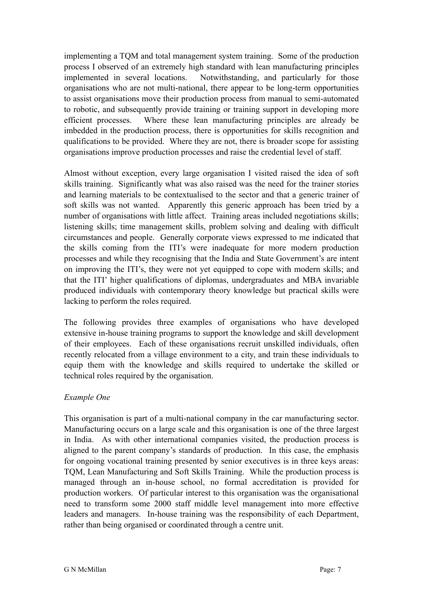implementing a TQM and total management system training. Some of the production process I observed of an extremely high standard with lean manufacturing principles implemented in several locations. Notwithstanding, and particularly for those organisations who are not multi-national, there appear to be long-term opportunities to assist organisations move their production process from manual to semi-automated to robotic, and subsequently provide training or training support in developing more efficient processes. Where these lean manufacturing principles are already be imbedded in the production process, there is opportunities for skills recognition and qualifications to be provided. Where they are not, there is broader scope for assisting organisations improve production processes and raise the credential level of staff.

Almost without exception, every large organisation I visited raised the idea of soft skills training. Significantly what was also raised was the need for the trainer stories and learning materials to be contextualised to the sector and that a generic trainer of soft skills was not wanted. Apparently this generic approach has been tried by a number of organisations with little affect. Training areas included negotiations skills; listening skills; time management skills, problem solving and dealing with difficult circumstances and people. Generally corporate views expressed to me indicated that the skills coming from the ITI's were inadequate for more modern production processes and while they recognising that the India and State Government's are intent on improving the ITI's, they were not yet equipped to cope with modern skills; and that the ITI' higher qualifications of diplomas, undergraduates and MBA invariable produced individuals with contemporary theory knowledge but practical skills were lacking to perform the roles required.

The following provides three examples of organisations who have developed extensive in-house training programs to support the knowledge and skill development of their employees. Each of these organisations recruit unskilled individuals, often recently relocated from a village environment to a city, and train these individuals to equip them with the knowledge and skills required to undertake the skilled or technical roles required by the organisation.

### *Example One*

This organisation is part of a multi-national company in the car manufacturing sector. Manufacturing occurs on a large scale and this organisation is one of the three largest in India. As with other international companies visited, the production process is aligned to the parent company's standards of production. In this case, the emphasis for ongoing vocational training presented by senior executives is in three keys areas: TQM, Lean Manufacturing and Soft Skills Training. While the production process is managed through an in-house school, no formal accreditation is provided for production workers. Of particular interest to this organisation was the organisational need to transform some 2000 staff middle level management into more effective leaders and managers. In-house training was the responsibility of each Department, rather than being organised or coordinated through a centre unit.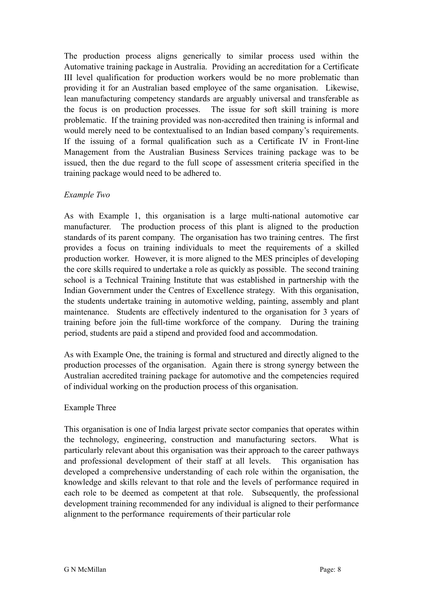The production process aligns generically to similar process used within the Automative training package in Australia. Providing an accreditation for a Certificate III level qualification for production workers would be no more problematic than providing it for an Australian based employee of the same organisation. Likewise, lean manufacturing competency standards are arguably universal and transferable as the focus is on production processes. The issue for soft skill training is more problematic. If the training provided was non-accredited then training is informal and would merely need to be contextualised to an Indian based company's requirements. If the issuing of a formal qualification such as a Certificate IV in Front-line Management from the Australian Business Services training package was to be issued, then the due regard to the full scope of assessment criteria specified in the training package would need to be adhered to.

### *Example Two*

As with Example 1, this organisation is a large multi-national automotive car manufacturer. The production process of this plant is aligned to the production standards of its parent company. The organisation has two training centres. The first provides a focus on training individuals to meet the requirements of a skilled production worker. However, it is more aligned to the MES principles of developing the core skills required to undertake a role as quickly as possible. The second training school is a Technical Training Institute that was established in partnership with the Indian Government under the Centres of Excellence strategy. With this organisation, the students undertake training in automotive welding, painting, assembly and plant maintenance. Students are effectively indentured to the organisation for 3 years of training before join the full-time workforce of the company. During the training period, students are paid a stipend and provided food and accommodation.

As with Example One, the training is formal and structured and directly aligned to the production processes of the organisation. Again there is strong synergy between the Australian accredited training package for automotive and the competencies required of individual working on the production process of this organisation.

### Example Three

This organisation is one of India largest private sector companies that operates within the technology, engineering, construction and manufacturing sectors. What is particularly relevant about this organisation was their approach to the career pathways and professional development of their staff at all levels. This organisation has developed a comprehensive understanding of each role within the organisation, the knowledge and skills relevant to that role and the levels of performance required in each role to be deemed as competent at that role. Subsequently, the professional development training recommended for any individual is aligned to their performance alignment to the performance requirements of their particular role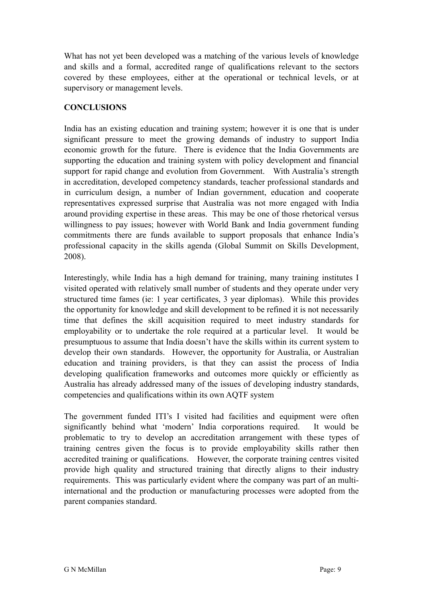What has not yet been developed was a matching of the various levels of knowledge and skills and a formal, accredited range of qualifications relevant to the sectors covered by these employees, either at the operational or technical levels, or at supervisory or management levels.

## **CONCLUSIONS**

India has an existing education and training system; however it is one that is under significant pressure to meet the growing demands of industry to support India economic growth for the future. There is evidence that the India Governments are supporting the education and training system with policy development and financial support for rapid change and evolution from Government. With Australia's strength in accreditation, developed competency standards, teacher professional standards and in curriculum design, a number of Indian government, education and cooperate representatives expressed surprise that Australia was not more engaged with India around providing expertise in these areas. This may be one of those rhetorical versus willingness to pay issues; however with World Bank and India government funding commitments there are funds available to support proposals that enhance India's professional capacity in the skills agenda (Global Summit on Skills Development, 2008).

Interestingly, while India has a high demand for training, many training institutes I visited operated with relatively small number of students and they operate under very structured time fames (ie: 1 year certificates, 3 year diplomas). While this provides the opportunity for knowledge and skill development to be refined it is not necessarily time that defines the skill acquisition required to meet industry standards for employability or to undertake the role required at a particular level. It would be presumptuous to assume that India doesn't have the skills within its current system to develop their own standards. However, the opportunity for Australia, or Australian education and training providers, is that they can assist the process of India developing qualification frameworks and outcomes more quickly or efficiently as Australia has already addressed many of the issues of developing industry standards, competencies and qualifications within its own AQTF system

The government funded ITI's I visited had facilities and equipment were often significantly behind what 'modern' India corporations required. It would be problematic to try to develop an accreditation arrangement with these types of training centres given the focus is to provide employability skills rather then accredited training or qualifications. However, the corporate training centres visited provide high quality and structured training that directly aligns to their industry requirements. This was particularly evident where the company was part of an multiinternational and the production or manufacturing processes were adopted from the parent companies standard.